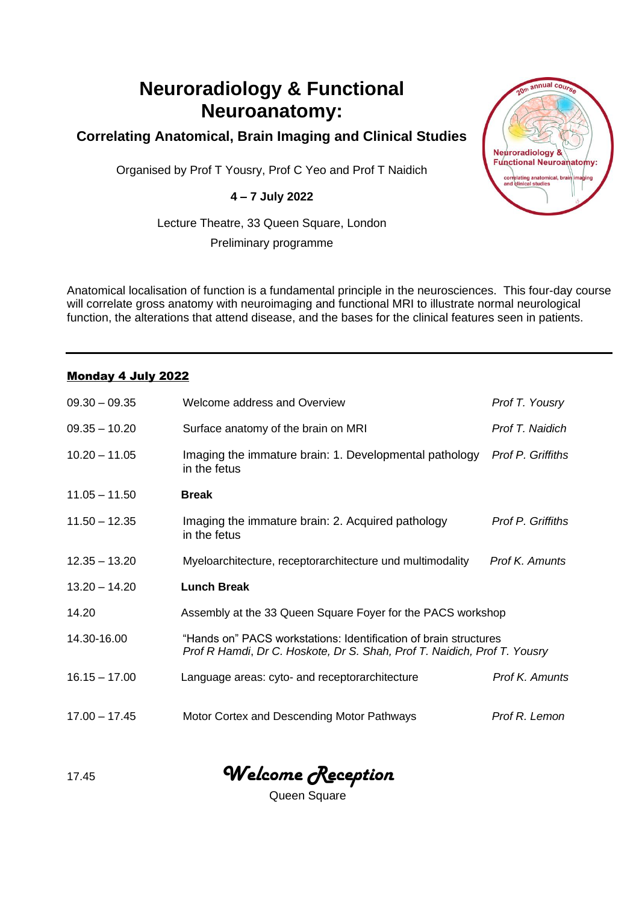# **Neuroradiology & Functional Neuroanatomy:**

## **Correlating Anatomical, Brain Imaging and Clinical Studies**

Organised by Prof T Yousry, Prof C Yeo and Prof T Naidich

#### **4 – 7 July 2022**

Lecture Theatre, 33 Queen Square, London

Preliminary programme

Anatomical localisation of function is a fundamental principle in the neurosciences. This four-day course will correlate gross anatomy with neuroimaging and functional MRI to illustrate normal neurological function, the alterations that attend disease, and the bases for the clinical features seen in patients.

#### Monday 4 July 2022

| $09.30 - 09.35$ | Welcome address and Overview                                                                                                                 | Prof T. Yousry    |  |
|-----------------|----------------------------------------------------------------------------------------------------------------------------------------------|-------------------|--|
| $09.35 - 10.20$ | Surface anatomy of the brain on MRI                                                                                                          | Prof T. Naidich   |  |
| $10.20 - 11.05$ | Imaging the immature brain: 1. Developmental pathology<br>in the fetus                                                                       | Prof P. Griffiths |  |
| $11.05 - 11.50$ | <b>Break</b>                                                                                                                                 |                   |  |
| $11.50 - 12.35$ | Imaging the immature brain: 2. Acquired pathology<br>in the fetus                                                                            | Prof P. Griffiths |  |
| $12.35 - 13.20$ | Myeloarchitecture, receptorarchitecture und multimodality                                                                                    | Prof K. Amunts    |  |
| $13.20 - 14.20$ | <b>Lunch Break</b>                                                                                                                           |                   |  |
| 14.20           | Assembly at the 33 Queen Square Foyer for the PACS workshop                                                                                  |                   |  |
| 14.30-16.00     | "Hands on" PACS workstations: Identification of brain structures<br>Prof R Hamdi, Dr C. Hoskote, Dr S. Shah, Prof T. Naidich, Prof T. Yousry |                   |  |
| $16.15 - 17.00$ | Language areas: cyto- and receptorarchitecture                                                                                               | Prof K. Amunts    |  |
| $17.00 - 17.45$ | Motor Cortex and Descending Motor Pathways                                                                                                   | Prof R. Lemon     |  |

17.45 *Welcome Reception*

Queen Square

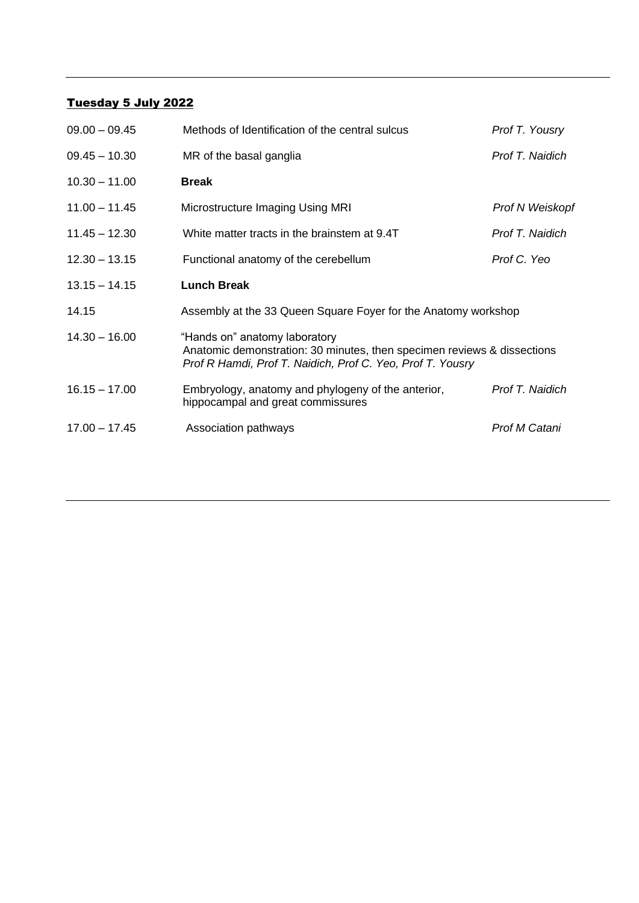## Tuesday 5 July 2022

| $09.00 - 09.45$ | Methods of Identification of the central sulcus                                                                                                                        | Prof T. Yousry  |  |
|-----------------|------------------------------------------------------------------------------------------------------------------------------------------------------------------------|-----------------|--|
| $09.45 - 10.30$ | MR of the basal ganglia                                                                                                                                                | Prof T. Naidich |  |
| $10.30 - 11.00$ | <b>Break</b>                                                                                                                                                           |                 |  |
| $11.00 - 11.45$ | Microstructure Imaging Using MRI                                                                                                                                       | Prof N Weiskopf |  |
| $11.45 - 12.30$ | White matter tracts in the brainstem at 9.4T                                                                                                                           | Prof T. Naidich |  |
| $12.30 - 13.15$ | Functional anatomy of the cerebellum                                                                                                                                   | Prof C. Yeo     |  |
| $13.15 - 14.15$ | <b>Lunch Break</b>                                                                                                                                                     |                 |  |
| 14.15           | Assembly at the 33 Queen Square Foyer for the Anatomy workshop                                                                                                         |                 |  |
| $14.30 - 16.00$ | "Hands on" anatomy laboratory<br>Anatomic demonstration: 30 minutes, then specimen reviews & dissections<br>Prof R Hamdi, Prof T. Naidich, Prof C. Yeo, Prof T. Yousry |                 |  |
| $16.15 - 17.00$ | Embryology, anatomy and phylogeny of the anterior,<br>hippocampal and great commissures                                                                                | Prof T. Naidich |  |
| $17.00 - 17.45$ | Association pathways                                                                                                                                                   | Prof M Catani   |  |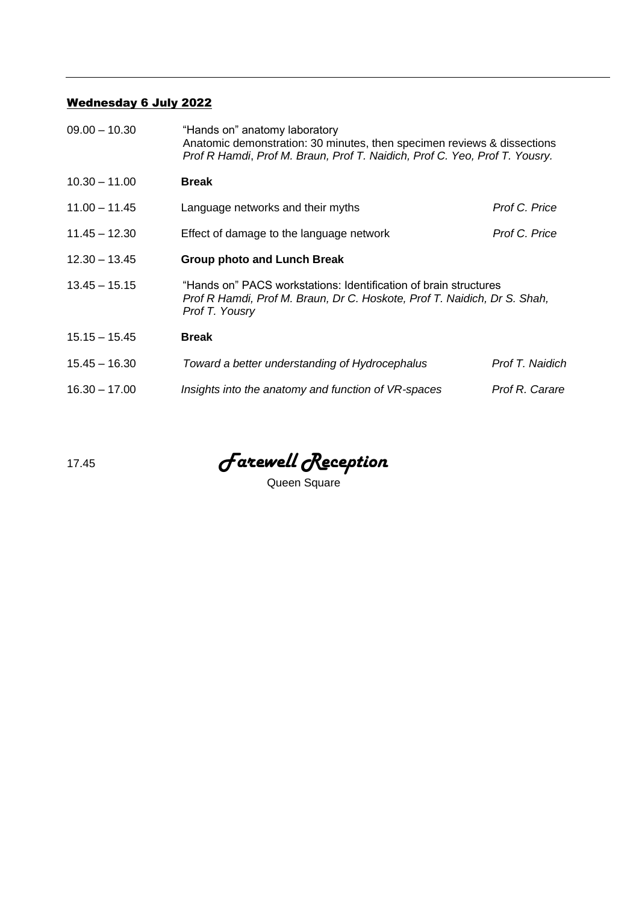## Wednesday 6 July 2022

| $09.00 - 10.30$ | "Hands on" anatomy laboratory<br>Anatomic demonstration: 30 minutes, then specimen reviews & dissections<br>Prof R Hamdi, Prof M. Braun, Prof T. Naidich, Prof C. Yeo, Prof T. Yousry. |                 |  |
|-----------------|----------------------------------------------------------------------------------------------------------------------------------------------------------------------------------------|-----------------|--|
| $10.30 - 11.00$ | <b>Break</b>                                                                                                                                                                           |                 |  |
| $11.00 - 11.45$ | Language networks and their myths                                                                                                                                                      | Prof C. Price   |  |
| $11.45 - 12.30$ | Effect of damage to the language network                                                                                                                                               | Prof C. Price   |  |
| $12.30 - 13.45$ | <b>Group photo and Lunch Break</b>                                                                                                                                                     |                 |  |
| $13.45 - 15.15$ | "Hands on" PACS workstations: Identification of brain structures<br>Prof R Hamdi, Prof M. Braun, Dr C. Hoskote, Prof T. Naidich, Dr S. Shah,<br>Prof T. Yousry                         |                 |  |
| $15.15 - 15.45$ | <b>Break</b>                                                                                                                                                                           |                 |  |
| $15.45 - 16.30$ | Toward a better understanding of Hydrocephalus                                                                                                                                         | Prof T. Naidich |  |
| $16.30 - 17.00$ | Insights into the anatomy and function of VR-spaces                                                                                                                                    | Prof R. Carare  |  |

17.45 *Farewell Reception*

Queen Square